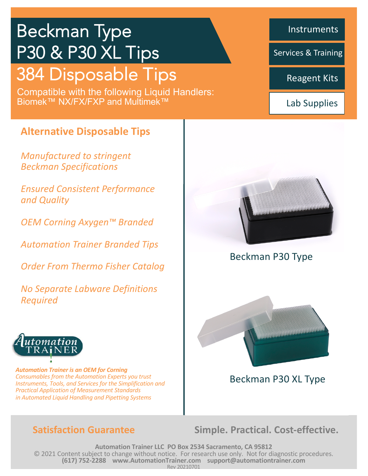# Beckman Type P30 & P30 XL Tips

# 384 Disposable Tips

Compatible with the following Liquid Handlers: Biomek™ NX/FX/FXP and Multimek™

## **Alternative Disposable Tips**

*Manufactured to stringent Beckman Specifications* 

*Ensured Consistent Performance and Quality*

*OEM Corning Axygen™ Branded* 

*Automation Trainer Branded Tips* 

*Order From Thermo Fisher Catalog*

*No Separate Labware Definitions Required*



*Automation Trainer is an OEM for Corning Consumables from the Automation Experts you trust Instruments, Tools, and Services for the Simplification and Practical Application of Measurement Standards in Automated Liquid Handling and Pipetting Systems*

**Satisfaction Guarantee Simple. Practical. Cost-effective.** 

**Automation Trainer LLC PO Box 2534 Sacramento, CA 95812** © 2021 Content subject to change without notice. For research use only. Not for diagnostic procedures. **(617) 752-2288 www.AutomationTrainer.com support@automationtrainer.com** Rev 20210701

Instruments

Services & Training

Reagent Kits

Lab Supplies



### Beckman P30 Type



• *Turn key technology* Beckman P30 XL Type